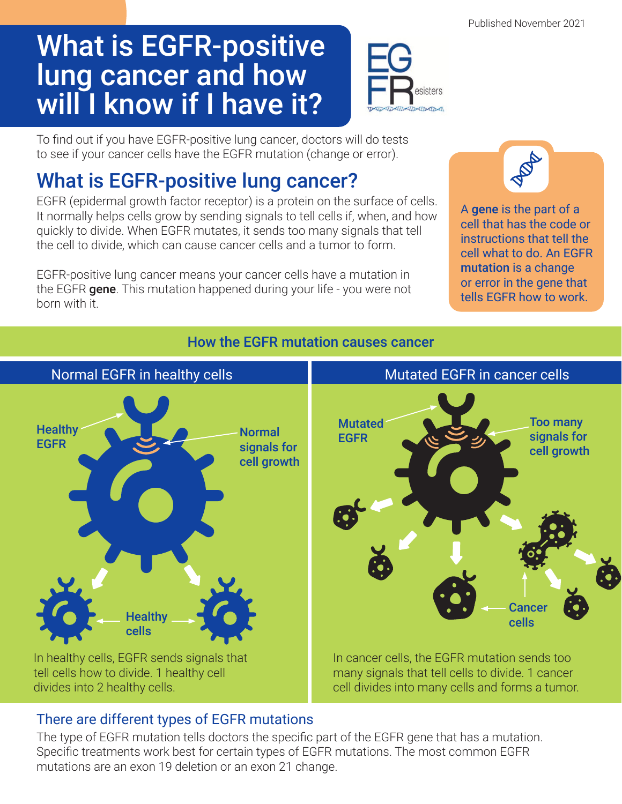Published November 2021

# What is EGFR-positive lung cancer and how will I know if I have it?



To find out if you have EGFR-positive lung cancer, doctors will do tests to see if your cancer cells have the EGFR mutation (change or error).

## What is EGFR-positive lung cancer?

EGFR (epidermal growth factor receptor) is a protein on the surface of cells. It normally helps cells grow by sending signals to tell cells if, when, and how quickly to divide. When EGFR mutates, it sends too many signals that tell the cell to divide, which can cause cancer cells and a tumor to form.

EGFR-positive lung cancer means your cancer cells have a mutation in the EGFR **gene**. This mutation happened during your life - you were not born with it.



A gene is the part of a cell that has the code or instructions that tell the cell what to do. An EGFR mutation is a change or error in the gene that tells EGFR how to work.

### How the EGFR mutation causes cancer



#### There are different types of EGFR mutations

The type of EGFR mutation tells doctors the specific part of the EGFR gene that has a mutation. Specific treatments work best for certain types of EGFR mutations. The most common EGFR mutations are an exon 19 deletion or an exon 21 change.